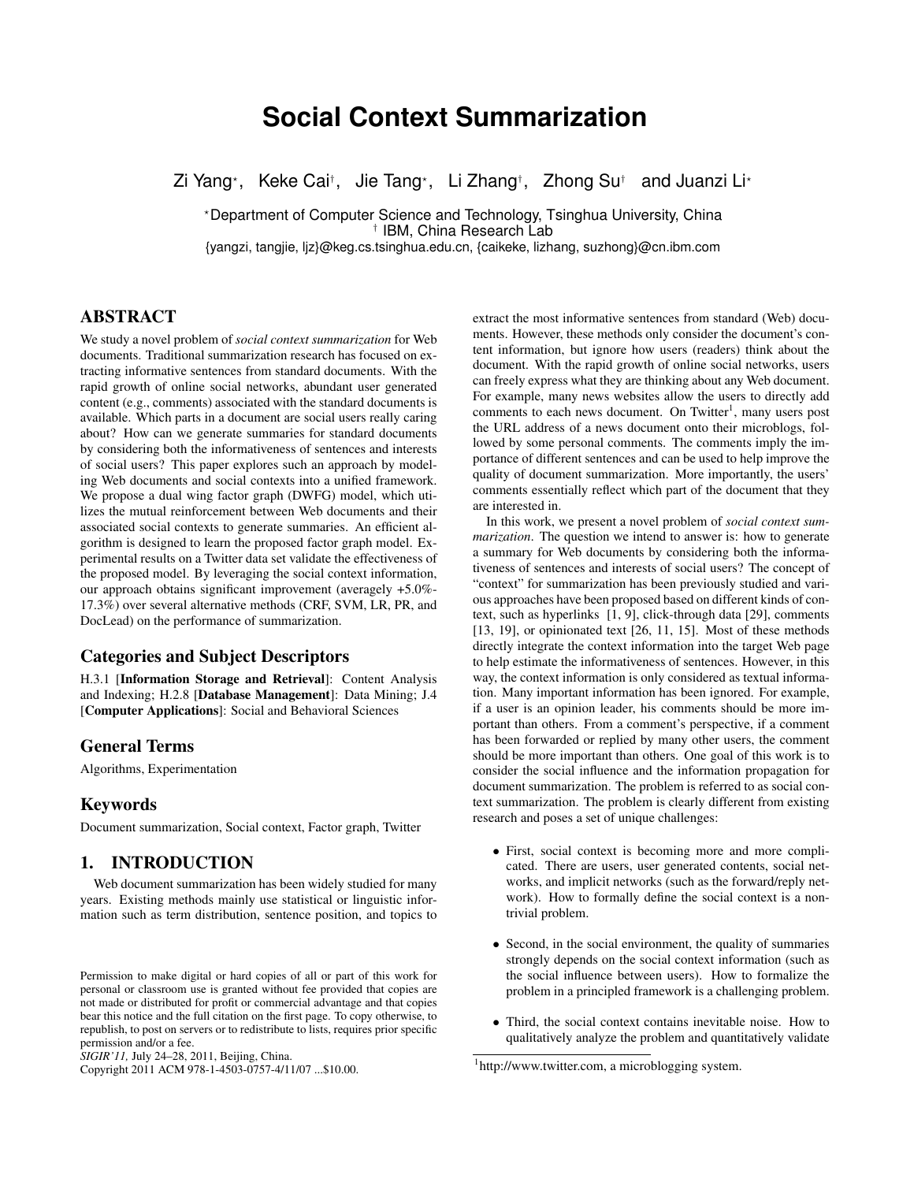# **Social Context Summarization**

Zi Yang*<sup>⋆</sup>* , Keke Cai*†* , Jie Tang*<sup>⋆</sup>* , Li Zhang*†* , Zhong Su*†* and Juanzi Li*<sup>⋆</sup>*

*<sup>⋆</sup>*Department of Computer Science and Technology, Tsinghua University, China *†* IBM, China Research Lab

{yangzi, tangjie, ljz}@keg.cs.tsinghua.edu.cn, {caikeke, lizhang, suzhong}@cn.ibm.com

# ABSTRACT

We study a novel problem of *social context summarization* for Web documents. Traditional summarization research has focused on extracting informative sentences from standard documents. With the rapid growth of online social networks, abundant user generated content (e.g., comments) associated with the standard documents is available. Which parts in a document are social users really caring about? How can we generate summaries for standard documents by considering both the informativeness of sentences and interests of social users? This paper explores such an approach by modeling Web documents and social contexts into a unified framework. We propose a dual wing factor graph (DWFG) model, which utilizes the mutual reinforcement between Web documents and their associated social contexts to generate summaries. An efficient algorithm is designed to learn the proposed factor graph model. Experimental results on a Twitter data set validate the effectiveness of the proposed model. By leveraging the social context information, our approach obtains significant improvement (averagely +5.0%- 17.3%) over several alternative methods (CRF, SVM, LR, PR, and DocLead) on the performance of summarization.

## Categories and Subject Descriptors

H.3.1 [Information Storage and Retrieval]: Content Analysis and Indexing; H.2.8 [Database Management]: Data Mining; J.4 [Computer Applications]: Social and Behavioral Sciences

## General Terms

Algorithms, Experimentation

## Keywords

Document summarization, Social context, Factor graph, Twitter

# 1. INTRODUCTION

Web document summarization has been widely studied for many years. Existing methods mainly use statistical or linguistic information such as term distribution, sentence position, and topics to

Copyright 2011 ACM 978-1-4503-0757-4/11/07 ...\$10.00.

extract the most informative sentences from standard (Web) documents. However, these methods only consider the document's content information, but ignore how users (readers) think about the document. With the rapid growth of online social networks, users can freely express what they are thinking about any Web document. For example, many news websites allow the users to directly add comments to each news document. On Twitter<sup>1</sup>, many users post the URL address of a news document onto their microblogs, followed by some personal comments. The comments imply the importance of different sentences and can be used to help improve the quality of document summarization. More importantly, the users' comments essentially reflect which part of the document that they are interested in.

In this work, we present a novel problem of *social context summarization*. The question we intend to answer is: how to generate a summary for Web documents by considering both the informativeness of sentences and interests of social users? The concept of "context" for summarization has been previously studied and various approaches have been proposed based on different kinds of context, such as hyperlinks [1, 9], click-through data [29], comments [13, 19], or opinionated text [26, 11, 15]. Most of these methods directly integrate the context information into the target Web page to help estimate the informativeness of sentences. However, in this way, the context information is only considered as textual information. Many important information has been ignored. For example, if a user is an opinion leader, his comments should be more important than others. From a comment's perspective, if a comment has been forwarded or replied by many other users, the comment should be more important than others. One goal of this work is to consider the social influence and the information propagation for document summarization. The problem is referred to as social context summarization. The problem is clearly different from existing research and poses a set of unique challenges:

- *•* First, social context is becoming more and more complicated. There are users, user generated contents, social networks, and implicit networks (such as the forward/reply network). How to formally define the social context is a nontrivial problem.
- *•* Second, in the social environment, the quality of summaries strongly depends on the social context information (such as the social influence between users). How to formalize the problem in a principled framework is a challenging problem.
- *•* Third, the social context contains inevitable noise. How to qualitatively analyze the problem and quantitatively validate

Permission to make digital or hard copies of all or part of this work for personal or classroom use is granted without fee provided that copies are not made or distributed for profit or commercial advantage and that copies bear this notice and the full citation on the first page. To copy otherwise, to republish, to post on servers or to redistribute to lists, requires prior specific permission and/or a fee.

*SIGIR'11,* July 24–28, 2011, Beijing, China.

<sup>&</sup>lt;sup>1</sup>http://www.twitter.com, a microblogging system.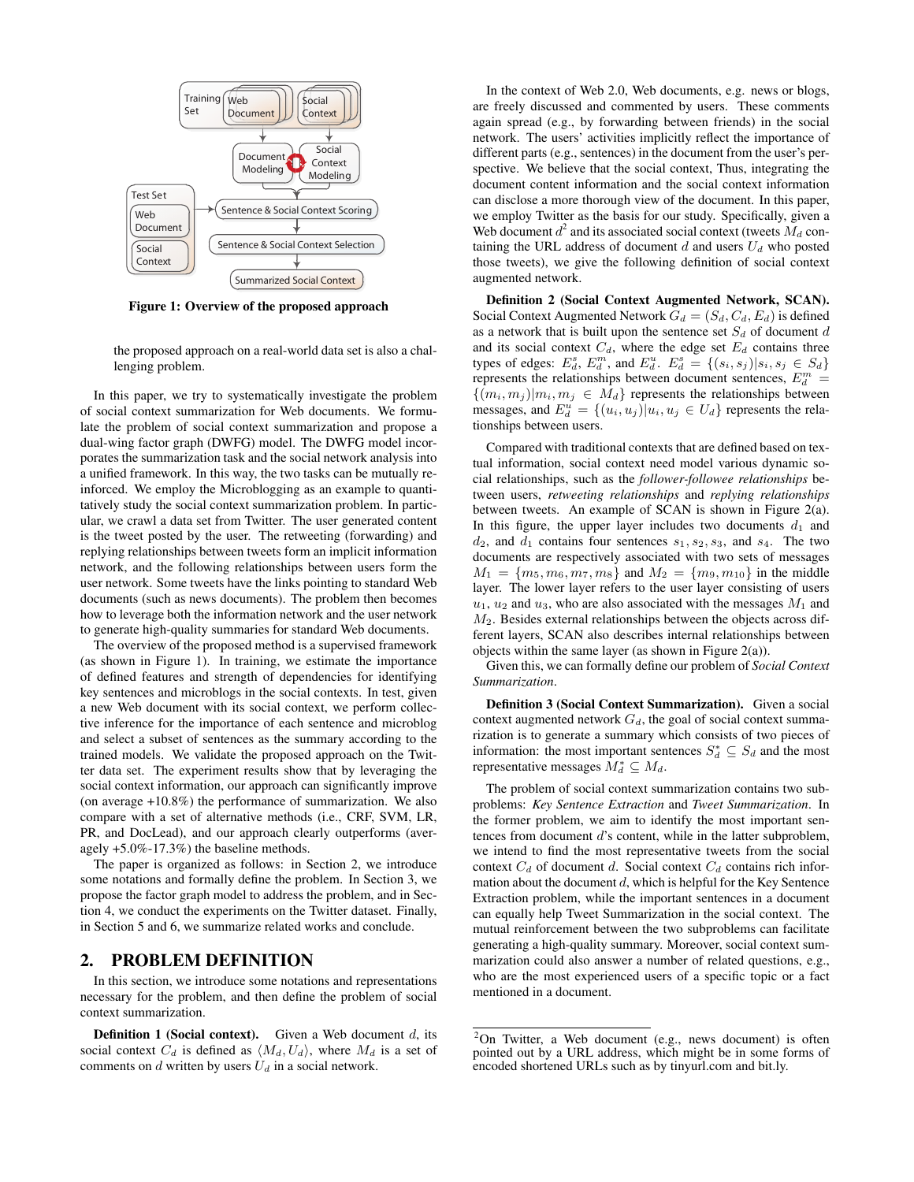

Figure 1: Overview of the proposed approach

the proposed approach on a real-world data set is also a challenging problem.

In this paper, we try to systematically investigate the problem of social context summarization for Web documents. We formulate the problem of social context summarization and propose a dual-wing factor graph (DWFG) model. The DWFG model incorporates the summarization task and the social network analysis into a unified framework. In this way, the two tasks can be mutually reinforced. We employ the Microblogging as an example to quantitatively study the social context summarization problem. In particular, we crawl a data set from Twitter. The user generated content is the tweet posted by the user. The retweeting (forwarding) and replying relationships between tweets form an implicit information network, and the following relationships between users form the user network. Some tweets have the links pointing to standard Web documents (such as news documents). The problem then becomes how to leverage both the information network and the user network to generate high-quality summaries for standard Web documents.

The overview of the proposed method is a supervised framework (as shown in Figure 1). In training, we estimate the importance of defined features and strength of dependencies for identifying key sentences and microblogs in the social contexts. In test, given a new Web document with its social context, we perform collective inference for the importance of each sentence and microblog and select a subset of sentences as the summary according to the trained models. We validate the proposed approach on the Twitter data set. The experiment results show that by leveraging the social context information, our approach can significantly improve (on average +10.8%) the performance of summarization. We also compare with a set of alternative methods (i.e., CRF, SVM, LR, PR, and DocLead), and our approach clearly outperforms (averagely +5.0%-17.3%) the baseline methods.

The paper is organized as follows: in Section 2, we introduce some notations and formally define the problem. In Section 3, we propose the factor graph model to address the problem, and in Section 4, we conduct the experiments on the Twitter dataset. Finally, in Section 5 and 6, we summarize related works and conclude.

## 2. PROBLEM DEFINITION

In this section, we introduce some notations and representations necessary for the problem, and then define the problem of social context summarization.

In the context of Web 2.0, Web documents, e.g. news or blogs, are freely discussed and commented by users. These comments again spread (e.g., by forwarding between friends) in the social network. The users' activities implicitly reflect the importance of different parts (e.g., sentences) in the document from the user's perspective. We believe that the social context, Thus, integrating the document content information and the social context information can disclose a more thorough view of the document. In this paper, we employ Twitter as the basis for our study. Specifically, given a Web document  $d^2$  and its associated social context (tweets  $M_d$  containing the URL address of document  $d$  and users  $U_d$  who posted those tweets), we give the following definition of social context augmented network.

Definition 2 (Social Context Augmented Network, SCAN). Social Context Augmented Network  $G_d = (S_d, C_d, E_d)$  is defined as a network that is built upon the sentence set *S<sup>d</sup>* of document *d* and its social context  $C_d$ , where the edge set  $E_d$  contains three types of edges:  $E_d^s$ ,  $E_d^m$ , and  $E_d^u$ .  $E_d^s = \{(s_i, s_j) | s_i, s_j \in S_d\}$ represents the relationships between document sentences,  $E_d^m$  =  $\{(m_i, m_j) | m_i, m_j \in M_d\}$  represents the relationships between messages, and  $E_d^u = \{(u_i, u_j) | u_i, u_j \in U_d\}$  represents the relationships between users.

Compared with traditional contexts that are defined based on textual information, social context need model various dynamic social relationships, such as the *follower-followee relationships* between users, *retweeting relationships* and *replying relationships* between tweets. An example of SCAN is shown in Figure 2(a). In this figure, the upper layer includes two documents  $d_1$  and  $d_2$ , and  $d_1$  contains four sentences  $s_1, s_2, s_3$ , and  $s_4$ . The two documents are respectively associated with two sets of messages  $M_1 = \{m_5, m_6, m_7, m_8\}$  and  $M_2 = \{m_9, m_{10}\}$  in the middle layer. The lower layer refers to the user layer consisting of users *u*1, *u*<sup>2</sup> and *u*3, who are also associated with the messages *M*<sup>1</sup> and *M*2. Besides external relationships between the objects across different layers, SCAN also describes internal relationships between objects within the same layer (as shown in Figure 2(a)).

Given this, we can formally define our problem of *Social Context Summarization*.

Definition 3 (Social Context Summarization). Given a social context augmented network *Gd*, the goal of social context summarization is to generate a summary which consists of two pieces of information: the most important sentences  $S_d^* \subseteq S_d$  and the most representative messages  $M_d^* \subseteq M_d$ .

The problem of social context summarization contains two subproblems: *Key Sentence Extraction* and *Tweet Summarization*. In the former problem, we aim to identify the most important sentences from document *d*'s content, while in the latter subproblem, we intend to find the most representative tweets from the social context  $C_d$  of document *d*. Social context  $C_d$  contains rich information about the document *d*, which is helpful for the Key Sentence Extraction problem, while the important sentences in a document can equally help Tweet Summarization in the social context. The mutual reinforcement between the two subproblems can facilitate generating a high-quality summary. Moreover, social context summarization could also answer a number of related questions, e.g., who are the most experienced users of a specific topic or a fact mentioned in a document.

Definition 1 (Social context). Given a Web document *d*, its social context  $C_d$  is defined as  $\langle M_d, U_d \rangle$ , where  $M_d$  is a set of comments on *d* written by users *U<sup>d</sup>* in a social network.

 $2$ On Twitter, a Web document (e.g., news document) is often pointed out by a URL address, which might be in some forms of encoded shortened URLs such as by tinyurl.com and bit.ly.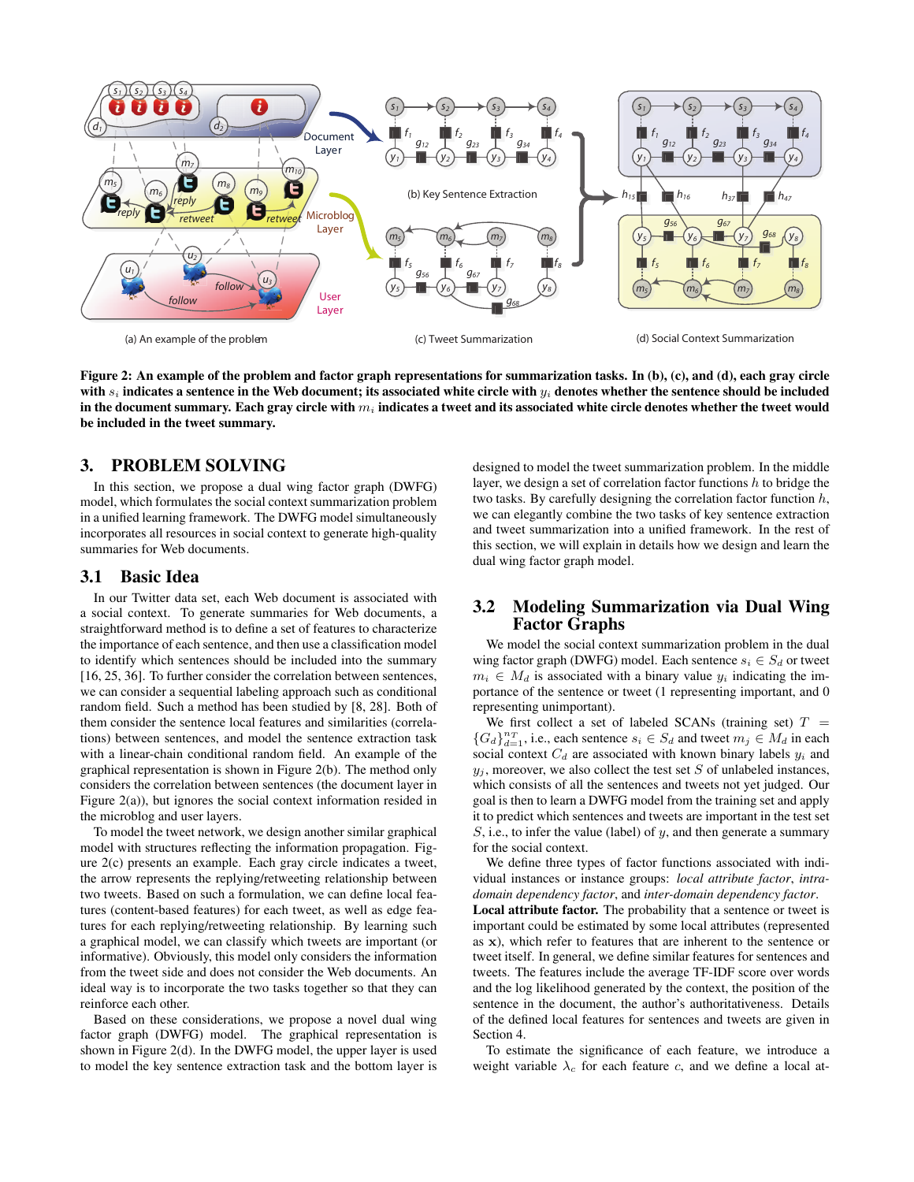

Figure 2: An example of the problem and factor graph representations for summarization tasks. In (b), (c), and (d), each gray circle with *s<sup>i</sup>* indicates a sentence in the Web document; its associated white circle with *y<sup>i</sup>* denotes whether the sentence should be included in the document summary. Each gray circle with *m<sup>i</sup>* indicates a tweet and its associated white circle denotes whether the tweet would be included in the tweet summary.

## 3. PROBLEM SOLVING

In this section, we propose a dual wing factor graph (DWFG) model, which formulates the social context summarization problem in a unified learning framework. The DWFG model simultaneously incorporates all resources in social context to generate high-quality summaries for Web documents.

## 3.1 Basic Idea

In our Twitter data set, each Web document is associated with a social context. To generate summaries for Web documents, a straightforward method is to define a set of features to characterize the importance of each sentence, and then use a classification model to identify which sentences should be included into the summary [16, 25, 36]. To further consider the correlation between sentences, we can consider a sequential labeling approach such as conditional random field. Such a method has been studied by [8, 28]. Both of them consider the sentence local features and similarities (correlations) between sentences, and model the sentence extraction task with a linear-chain conditional random field. An example of the graphical representation is shown in Figure 2(b). The method only considers the correlation between sentences (the document layer in Figure 2(a)), but ignores the social context information resided in the microblog and user layers.

To model the tweet network, we design another similar graphical model with structures reflecting the information propagation. Figure 2(c) presents an example. Each gray circle indicates a tweet, the arrow represents the replying/retweeting relationship between two tweets. Based on such a formulation, we can define local features (content-based features) for each tweet, as well as edge features for each replying/retweeting relationship. By learning such a graphical model, we can classify which tweets are important (or informative). Obviously, this model only considers the information from the tweet side and does not consider the Web documents. An ideal way is to incorporate the two tasks together so that they can reinforce each other.

Based on these considerations, we propose a novel dual wing factor graph (DWFG) model. The graphical representation is shown in Figure 2(d). In the DWFG model, the upper layer is used to model the key sentence extraction task and the bottom layer is

designed to model the tweet summarization problem. In the middle layer, we design a set of correlation factor functions *h* to bridge the two tasks. By carefully designing the correlation factor function *h*, we can elegantly combine the two tasks of key sentence extraction and tweet summarization into a unified framework. In the rest of this section, we will explain in details how we design and learn the dual wing factor graph model.

## 3.2 Modeling Summarization via Dual Wing Factor Graphs

We model the social context summarization problem in the dual wing factor graph (DWFG) model. Each sentence  $s_i \in S_d$  or tweet  $m_i \in M_d$  is associated with a binary value  $y_i$  indicating the importance of the sentence or tweet (1 representing important, and 0 representing unimportant).

We first collect a set of labeled SCANs (training set)  $T =$  ${G_d}_{d=1}^{n_T}$ , i.e., each sentence  $s_i \in S_d$  and tweet  $m_j \in M_d$  in each social context  $C_d$  are associated with known binary labels  $y_i$  and  $y_i$ , moreover, we also collect the test set *S* of unlabeled instances, which consists of all the sentences and tweets not yet judged. Our goal is then to learn a DWFG model from the training set and apply it to predict which sentences and tweets are important in the test set *S*, i.e., to infer the value (label) of *y*, and then generate a summary for the social context.

We define three types of factor functions associated with individual instances or instance groups: *local attribute factor*, *intradomain dependency factor*, and *inter-domain dependency factor*. Local attribute factor. The probability that a sentence or tweet is important could be estimated by some local attributes (represented as **x**), which refer to features that are inherent to the sentence or tweet itself. In general, we define similar features for sentences and tweets. The features include the average TF-IDF score over words and the log likelihood generated by the context, the position of the sentence in the document, the author's authoritativeness. Details of the defined local features for sentences and tweets are given in Section 4.

To estimate the significance of each feature, we introduce a weight variable *λ<sup>c</sup>* for each feature *c*, and we define a local at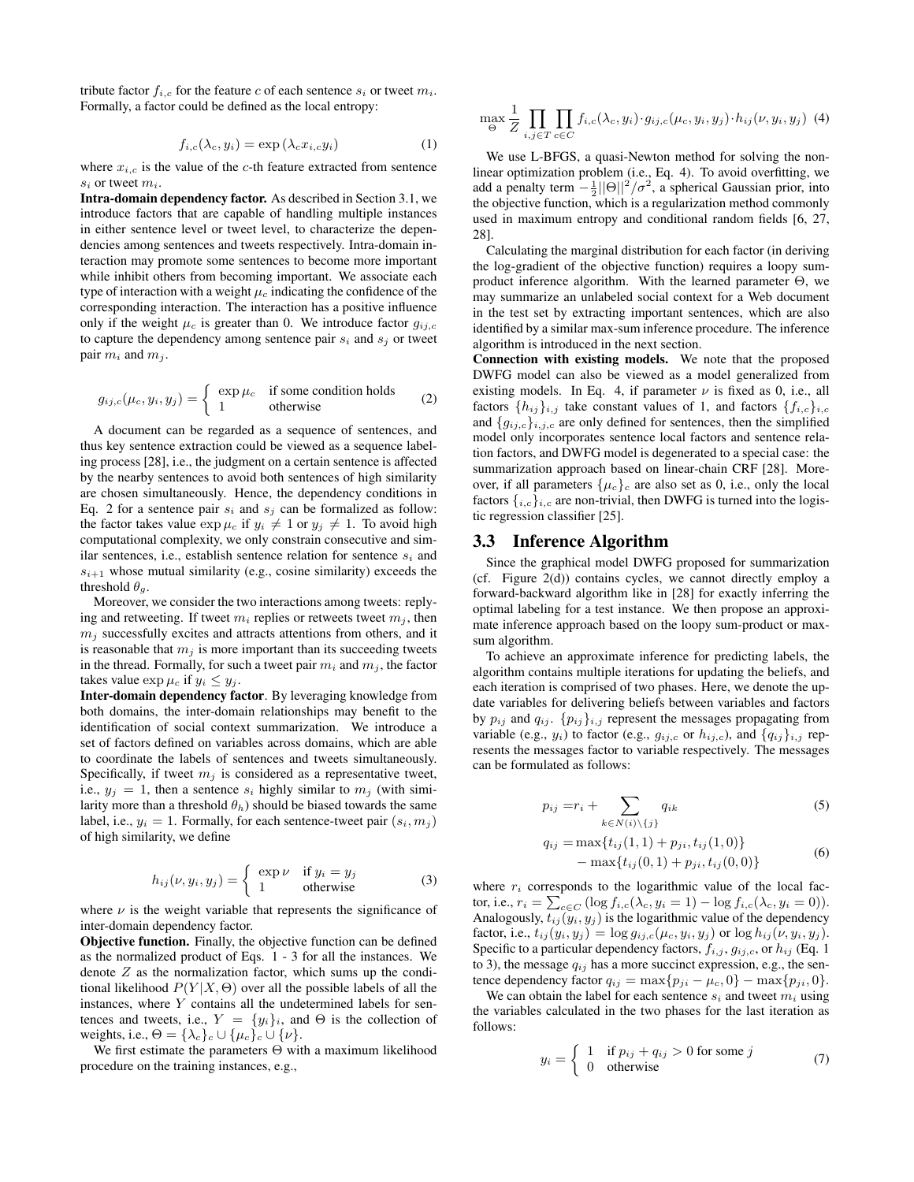tribute factor  $f_{i,c}$  for the feature *c* of each sentence  $s_i$  or tweet  $m_i$ . Formally, a factor could be defined as the local entropy:

$$
f_{i,c}(\lambda_c, y_i) = \exp\left(\lambda_c x_{i,c} y_i\right) \tag{1}
$$

where  $x_{i,c}$  is the value of the *c*-th feature extracted from sentence *s<sup>i</sup>* or tweet *mi*.

Intra-domain dependency factor. As described in Section 3.1, we introduce factors that are capable of handling multiple instances in either sentence level or tweet level, to characterize the dependencies among sentences and tweets respectively. Intra-domain interaction may promote some sentences to become more important while inhibit others from becoming important. We associate each type of interaction with a weight  $\mu_c$  indicating the confidence of the corresponding interaction. The interaction has a positive influence only if the weight  $\mu_c$  is greater than 0. We introduce factor  $g_{ij,c}$ to capture the dependency among sentence pair  $s_i$  and  $s_j$  or tweet pair  $m_i$  and  $m_j$ .

$$
g_{ij,c}(\mu_c, y_i, y_j) = \begin{cases} \exp \mu_c & \text{if some condition holds} \\ 1 & \text{otherwise} \end{cases}
$$
 (2)

A document can be regarded as a sequence of sentences, and thus key sentence extraction could be viewed as a sequence labeling process [28], i.e., the judgment on a certain sentence is affected by the nearby sentences to avoid both sentences of high similarity are chosen simultaneously. Hence, the dependency conditions in Eq. 2 for a sentence pair  $s_i$  and  $s_j$  can be formalized as follow: the factor takes value  $\exp \mu_c$  if  $y_i \neq 1$  or  $y_j \neq 1$ . To avoid high computational complexity, we only constrain consecutive and similar sentences, i.e., establish sentence relation for sentence *s<sup>i</sup>* and  $s_{i+1}$  whose mutual similarity (e.g., cosine similarity) exceeds the threshold  $\theta_a$ .

Moreover, we consider the two interactions among tweets: replying and retweeting. If tweet  $m_i$  replies or retweets tweet  $m_j$ , then  $m<sub>i</sub>$  successfully excites and attracts attentions from others, and it is reasonable that  $m_j$  is more important than its succeeding tweets in the thread. Formally, for such a tweet pair  $m_i$  and  $m_j$ , the factor takes value  $\exp \mu_c$  if  $y_i \leq y_j$ .

Inter-domain dependency factor. By leveraging knowledge from both domains, the inter-domain relationships may benefit to the identification of social context summarization. We introduce a set of factors defined on variables across domains, which are able to coordinate the labels of sentences and tweets simultaneously. Specifically, if tweet  $m<sub>j</sub>$  is considered as a representative tweet, i.e.,  $y_j = 1$ , then a sentence  $s_i$  highly similar to  $m_j$  (with similarity more than a threshold  $\theta_h$ ) should be biased towards the same label, i.e.,  $y_i = 1$ . Formally, for each sentence-tweet pair  $(s_i, m_j)$ of high similarity, we define

$$
h_{ij}(\nu, y_i, y_j) = \begin{cases} \exp \nu & \text{if } y_i = y_j \\ 1 & \text{otherwise} \end{cases}
$$
 (3)

where  $\nu$  is the weight variable that represents the significance of inter-domain dependency factor.

Objective function. Finally, the objective function can be defined as the normalized product of Eqs. 1 - 3 for all the instances. We denote *Z* as the normalization factor, which sums up the conditional likelihood  $P(Y|X, \Theta)$  over all the possible labels of all the instances, where *Y* contains all the undetermined labels for sentences and tweets, i.e.,  $Y = \{y_i\}_i$ , and  $\Theta$  is the collection of weights, i.e.,  $\Theta = {\lambda_c}_{c} \cup {\mu_c}_{c} \cup {\nu}.$ 

We first estimate the parameters Θ with a maximum likelihood procedure on the training instances, e.g.,

$$
\max_{\Theta} \frac{1}{Z} \prod_{i,j \in T} \prod_{c \in C} f_{i,c}(\lambda_c, y_i) \cdot g_{ij,c}(\mu_c, y_i, y_j) \cdot h_{ij}(\nu, y_i, y_j) \tag{4}
$$

We use L-BFGS, a quasi-Newton method for solving the nonlinear optimization problem (i.e., Eq. 4). To avoid overfitting, we add a penalty term  $-\frac{1}{2}||\Theta||^2/\sigma^2$ , a spherical Gaussian prior, into the objective function, which is a regularization method commonly used in maximum entropy and conditional random fields [6, 27, 28].

Calculating the marginal distribution for each factor (in deriving the log-gradient of the objective function) requires a loopy sumproduct inference algorithm. With the learned parameter Θ, we may summarize an unlabeled social context for a Web document in the test set by extracting important sentences, which are also identified by a similar max-sum inference procedure. The inference algorithm is introduced in the next section.

Connection with existing models. We note that the proposed DWFG model can also be viewed as a model generalized from existing models. In Eq. 4, if parameter  $\nu$  is fixed as 0, i.e., all factors  $\{h_{ij}\}_{i,j}$  take constant values of 1, and factors  $\{f_{i,c}\}_{i,c}$ and  ${g_{ij,c}}_{i,j,c}$  are only defined for sentences, then the simplified model only incorporates sentence local factors and sentence relation factors, and DWFG model is degenerated to a special case: the summarization approach based on linear-chain CRF [28]. Moreover, if all parameters  $\{\mu_c\}_c$  are also set as 0, i.e., only the local factors  $\{i,c\}$ *i,c* are non-trivial, then DWFG is turned into the logistic regression classifier [25].

#### 3.3 Inference Algorithm

Since the graphical model DWFG proposed for summarization (cf. Figure 2(d)) contains cycles, we cannot directly employ a forward-backward algorithm like in [28] for exactly inferring the optimal labeling for a test instance. We then propose an approximate inference approach based on the loopy sum-product or maxsum algorithm.

To achieve an approximate inference for predicting labels, the algorithm contains multiple iterations for updating the beliefs, and each iteration is comprised of two phases. Here, we denote the update variables for delivering beliefs between variables and factors by  $p_{ij}$  and  $q_{ij}$ .  $\{p_{ij}\}_{i,j}$  represent the messages propagating from variable (e.g.,  $y_i$ ) to factor (e.g.,  $g_{ij,c}$  or  $h_{ij,c}$ ), and  $\{q_{ij}\}_{i,j}$  represents the messages factor to variable respectively. The messages can be formulated as follows:

$$
p_{ij} = r_i + \sum_{k \in N(i) \setminus \{j\}} q_{ik} \tag{5}
$$

$$
q_{ij} = \max\{t_{ij}(1,1) + p_{ji}, t_{ij}(1,0)\}
$$
  
- 
$$
\max\{t_{ij}(0,1) + p_{ji}, t_{ij}(0,0)\}
$$
 (6)

where  $r_i$  corresponds to the logarithmic value of the local factor, i.e.,  $r_i = \sum_{c \in C} (\log f_{i,c}(\lambda_c, y_i = 1) - \log f_{i,c}(\lambda_c, y_i = 0)).$ Analogously,  $t_{ij}(y_i, y_j)$  is the logarithmic value of the dependency factor, i.e.,  $t_{ij}(y_i, y_j) = \log g_{ij,c}(\mu_c, y_i, y_j)$  or  $\log h_{ij}(\nu, y_i, y_j)$ . Specific to a particular dependency factors,  $f_{i,j}$ ,  $g_{ij,c}$ , or  $h_{ij}$  (Eq. 1) to 3), the message  $q_{ij}$  has a more succinct expression, e.g., the sentence dependency factor  $q_{ij} = \max\{p_{ji} - \mu_c, 0\} - \max\{p_{ji}, 0\}.$ 

We can obtain the label for each sentence  $s_i$  and tweet  $m_i$  using the variables calculated in the two phases for the last iteration as follows:

$$
y_i = \begin{cases} 1 & \text{if } p_{ij} + q_{ij} > 0 \text{ for some } j \\ 0 & \text{otherwise} \end{cases}
$$
 (7)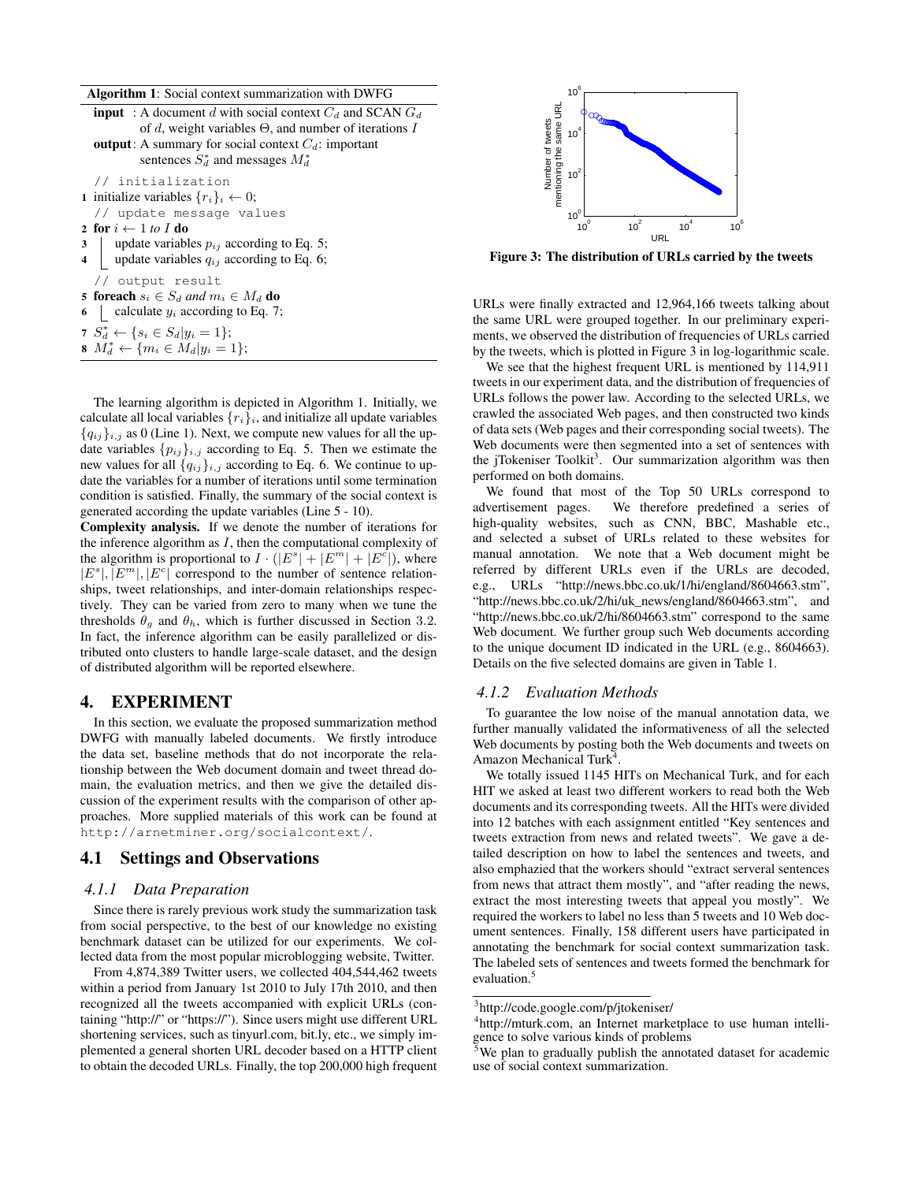Algorithm 1: Social context summarization with DWFG

```
input : A document d with social context C_d and SCAN G_dof d, weight variables Θ, and number of iterations I
  output: A summary for social context C_d: important
           sentences S_d^* and messages M_d^*// initialization
1 initialize variables \{r_i\}_i \leftarrow 0;// update message values
2 for i \leftarrow 1 to I do
3 update variables p_{ij} according to Eq. 5;
4 | update variables q_{ij} according to Eq. 6;
  // output result
5 foreach s_i \in S_d and m_i \in M_d do
6 calculate y_i according to Eq. 7;
S_d^* \leftarrow \{ s_i \in S_d | y_i = 1 \};8 M_d^* ← {m_i \in M_d|y_i = 1};
```
The learning algorithm is depicted in Algorithm 1. Initially, we calculate all local variables  $\{r_i\}_i$ , and initialize all update variables  ${q_{ij}}_{i,j}$  as 0 (Line 1). Next, we compute new values for all the update variables  $\{p_{ij}\}_{i,j}$  according to Eq. 5. Then we estimate the new values for all  ${q_{ij}}_{i,j}$  according to Eq. 6. We continue to update the variables for a number of iterations until some termination condition is satisfied. Finally, the summary of the social context is generated according the update variables (Line 5 - 10).

Complexity analysis. If we denote the number of iterations for the inference algorithm as *I*, then the computational complexity of the algorithm is proportional to  $I \cdot (|E^s| + |E^m| + |E^c|)$ , where  $|E^s|, |E^m|, |E^c|$  correspond to the number of sentence relationships, tweet relationships, and inter-domain relationships respectively. They can be varied from zero to many when we tune the thresholds  $\theta_g$  and  $\theta_h$ , which is further discussed in Section 3.2. In fact, the inference algorithm can be easily parallelized or distributed onto clusters to handle large-scale dataset, and the design of distributed algorithm will be reported elsewhere.

## 4. EXPERIMENT

In this section, we evaluate the proposed summarization method DWFG with manually labeled documents. We firstly introduce the data set, baseline methods that do not incorporate the relationship between the Web document domain and tweet thread domain, the evaluation metrics, and then we give the detailed discussion of the experiment results with the comparison of other approaches. More supplied materials of this work can be found at http://arnetminer.org/socialcontext/.

#### 4.1 Settings and Observations

#### *4.1.1 Data Preparation*

Since there is rarely previous work study the summarization task from social perspective, to the best of our knowledge no existing benchmark dataset can be utilized for our experiments. We collected data from the most popular microblogging website, Twitter.



Figure 3: The distribution of URLs carried by the tweets

URLs were finally extracted and 12,964,166 tweets talking about the same URL were grouped together. In our preliminary experiments, we observed the distribution of frequencies of URLs carried by the tweets, which is plotted in Figure 3 in log-logarithmic scale.

We see that the highest frequent URL is mentioned by 114,911 tweets in our experiment data, and the distribution of frequencies of URLs follows the power law. According to the selected URLs, we crawled the associated Web pages, and then constructed two kinds of data sets (Web pages and their corresponding social tweets). The Web documents were then segmented into a set of sentences with the jTokeniser Toolkit<sup>3</sup>. Our summarization algorithm was then performed on both domains.

We found that most of the Top 50 URLs correspond to advertisement pages. We therefore predefined a series of high-quality websites, such as CNN, BBC, Mashable etc., and selected a subset of URLs related to these websites for manual annotation. We note that a Web document might be referred by different URLs even if the URLs are decoded, e.g., URLs "http://news.bbc.co.uk/1/hi/england/8604663.stm", "http://news.bbc.co.uk/2/hi/uk\_news/england/8604663.stm", and "http://news.bbc.co.uk/2/hi/8604663.stm" correspond to the same Web document. We further group such Web documents according to the unique document ID indicated in the URL (e.g., 8604663). Details on the five selected domains are given in Table 1.

#### *4.1.2 Evaluation Methods*

To guarantee the low noise of the manual annotation data, we further manually validated the informativeness of all the selected Web documents by posting both the Web documents and tweets on Amazon Mechanical Turk<sup>4</sup> .

We totally issued 1145 HITs on Mechanical Turk, and for each HIT we asked at least two different workers to read both the Web documents and its corresponding tweets. All the HITs were divided into 12 batches with each assignment entitled "Key sentences and tweets extraction from news and related tweets". We gave a detailed description on how to label the sentences and tweets, and also emphazied that the workers should "extract serveral sentences from news that attract them mostly", and "after reading the news, extract the most interesting tweets that appeal you mostly". We required the workers to label no less than 5 tweets and 10 Web document sentences. Finally, 158 different users have participated in annotating the benchmark for social context summarization task. The labeled sets of sentences and tweets formed the benchmark for evaluation.<sup>5</sup>

From 4,874,389 Twitter users, we collected 404,544,462 tweets within a period from January 1st 2010 to July 17th 2010, and then recognized all the tweets accompanied with explicit URLs (containing "http://" or "https://"). Since users might use different URL shortening services, such as tinyurl.com, bit.ly, etc., we simply implemented a general shorten URL decoder based on a HTTP client to obtain the decoded URLs. Finally, the top 200,000 high frequent

<sup>3</sup> http://code.google.com/p/jtokeniser/

<sup>&</sup>lt;sup>4</sup>http://mturk.com, an Internet marketplace to use human intelligence to solve various kinds of problems

 $5$ We plan to gradually publish the annotated dataset for academic use of social context summarization.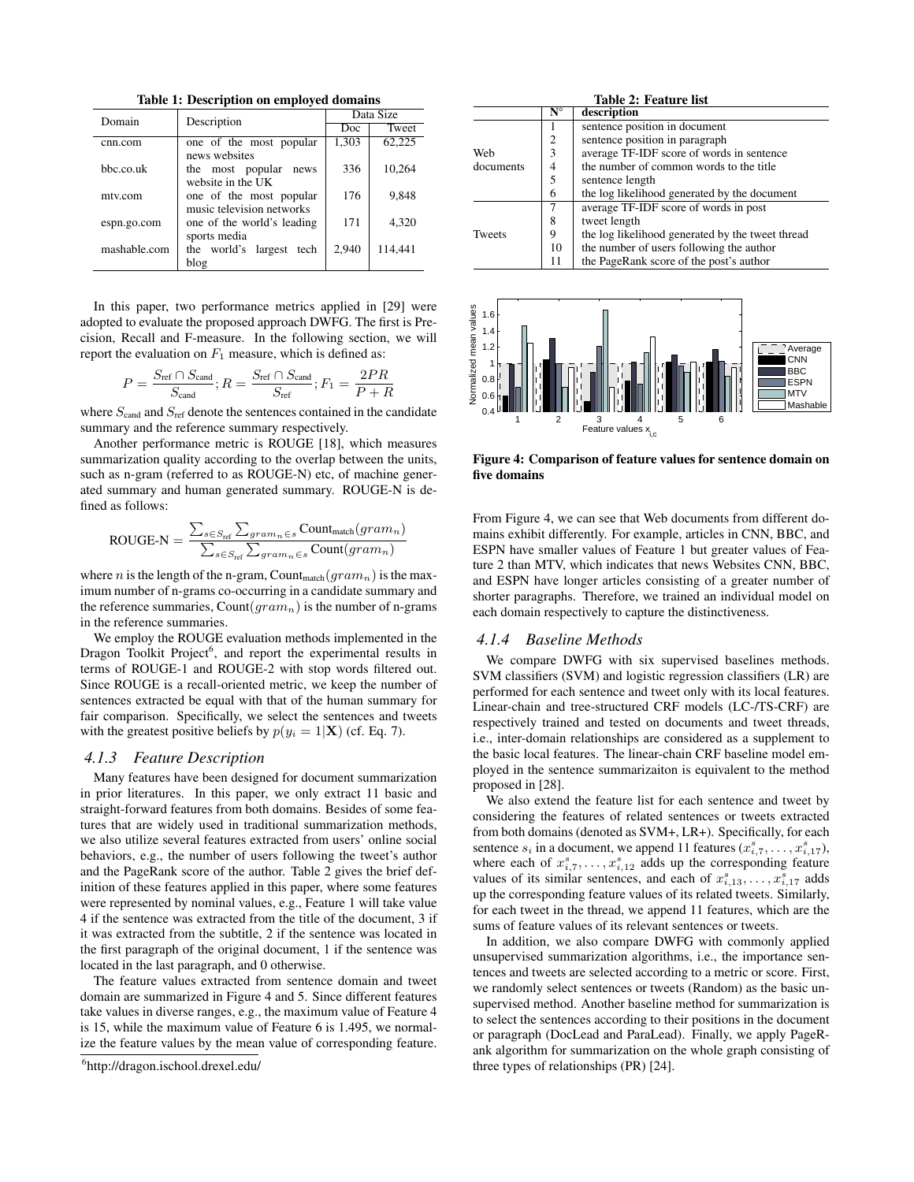Table 1: Description on employed domains

| Domain       | Description                 | Data Size |         |  |
|--------------|-----------------------------|-----------|---------|--|
|              |                             | Doc       | Tweet   |  |
| cnn.com      | one of the most popular     | 1,303     | 62,225  |  |
|              | news websites               |           |         |  |
| bbc.co.uk    | the most popular<br>news    | 336       | 10.264  |  |
|              | website in the UK           |           |         |  |
| mtv.com      | one of the most popular     | 176       | 9,848   |  |
|              | music television networks   |           |         |  |
| espn.go.com  | one of the world's leading  | 171       | 4,320   |  |
|              | sports media                |           |         |  |
| mashable.com | the world's largest<br>tech | 2.940     | 114,441 |  |
|              | blog                        |           |         |  |

In this paper, two performance metrics applied in [29] were adopted to evaluate the proposed approach DWFG. The first is Precision, Recall and F-measure. In the following section, we will report the evaluation on  $F_1$  measure, which is defined as:

$$
P = \frac{S_{\text{ref}} \cap S_{\text{cand}}}{S_{\text{cand}}}; R = \frac{S_{\text{ref}} \cap S_{\text{cand}}}{S_{\text{ref}}}; F_1 = \frac{2PR}{P + R}
$$

where  $S<sub>cand</sub>$  and  $S<sub>ref</sub>$  denote the sentences contained in the candidate summary and the reference summary respectively.

Another performance metric is ROUGE [18], which measures summarization quality according to the overlap between the units, such as n-gram (referred to as ROUGE-N) etc, of machine generated summary and human generated summary. ROUGE-N is defined as follows:

$$
\text{ROUGE-N} = \frac{\sum_{s \in S_{\text{ref}}} \sum_{gram_n \in s} \text{Count}_\text{match}(gram_n)}{\sum_{s \in S_{\text{ref}}} \sum_{gram_n \in s} \text{Count}(gram_n)}
$$

where *n* is the length of the n-gram, Count<sub>match</sub>  $(gram_n)$  is the maximum number of n-grams co-occurring in a candidate summary and the reference summaries, Count(*gramn*) is the number of n-grams in the reference summaries.

We employ the ROUGE evaluation methods implemented in the Dragon Toolkit Project<sup>6</sup>, and report the experimental results in terms of ROUGE-1 and ROUGE-2 with stop words filtered out. Since ROUGE is a recall-oriented metric, we keep the number of sentences extracted be equal with that of the human summary for fair comparison. Specifically, we select the sentences and tweets with the greatest positive beliefs by  $p(y_i = 1|\mathbf{X})$  (cf. Eq. 7).

#### *4.1.3 Feature Description*

Many features have been designed for document summarization in prior literatures. In this paper, we only extract 11 basic and straight-forward features from both domains. Besides of some features that are widely used in traditional summarization methods, we also utilize several features extracted from users' online social behaviors, e.g., the number of users following the tweet's author and the PageRank score of the author. Table 2 gives the brief definition of these features applied in this paper, where some features were represented by nominal values, e.g., Feature 1 will take value 4 if the sentence was extracted from the title of the document, 3 if it was extracted from the subtitle, 2 if the sentence was located in the first paragraph of the original document, 1 if the sentence was located in the last paragraph, and 0 otherwise.

The feature values extracted from sentence domain and tweet domain are summarized in Figure 4 and 5. Since different features take values in diverse ranges, e.g., the maximum value of Feature 4 is 15, while the maximum value of Feature 6 is 1.495, we normalize the feature values by the mean value of corresponding feature.

| Table 2: Feature list |                      |                                                  |  |  |
|-----------------------|----------------------|--------------------------------------------------|--|--|
|                       | $\mathbf{N}^{\circ}$ | description                                      |  |  |
|                       |                      | sentence position in document                    |  |  |
|                       | $\overline{2}$       | sentence position in paragraph                   |  |  |
| Web                   | 3                    | average TF-IDF score of words in sentence        |  |  |
| documents             | 4                    | the number of common words to the title          |  |  |
|                       | 5                    | sentence length                                  |  |  |
|                       | 6                    | the log likelihood generated by the document     |  |  |
|                       |                      | average TF-IDF score of words in post            |  |  |
|                       | 8                    | tweet length                                     |  |  |
| <b>Tweets</b>         | 9                    | the log likelihood generated by the tweet thread |  |  |
|                       | 10                   | the number of users following the author         |  |  |
|                       | 11                   | the PageRank score of the post's author          |  |  |



Figure 4: Comparison of feature values for sentence domain on five domains

From Figure 4, we can see that Web documents from different domains exhibit differently. For example, articles in CNN, BBC, and ESPN have smaller values of Feature 1 but greater values of Feature 2 than MTV, which indicates that news Websites CNN, BBC, and ESPN have longer articles consisting of a greater number of shorter paragraphs. Therefore, we trained an individual model on each domain respectively to capture the distinctiveness.

#### *4.1.4 Baseline Methods*

We compare DWFG with six supervised baselines methods. SVM classifiers (SVM) and logistic regression classifiers (LR) are performed for each sentence and tweet only with its local features. Linear-chain and tree-structured CRF models (LC-/TS-CRF) are respectively trained and tested on documents and tweet threads, i.e., inter-domain relationships are considered as a supplement to the basic local features. The linear-chain CRF baseline model employed in the sentence summarizaiton is equivalent to the method proposed in [28].

We also extend the feature list for each sentence and tweet by considering the features of related sentences or tweets extracted from both domains (denoted as SVM+, LR+). Specifically, for each sentence  $s_i$  in a document, we append 11 features  $(x_{i,7}^s, \ldots, x_{i,17}^s)$ , where each of  $x_{i,7}^s, \ldots, x_{i,12}^s$  adds up the corresponding feature values of its similar sentences, and each of  $x_{i,13}^s, \ldots, x_{i,17}^s$  adds up the corresponding feature values of its related tweets. Similarly, for each tweet in the thread, we append 11 features, which are the sums of feature values of its relevant sentences or tweets.

In addition, we also compare DWFG with commonly applied unsupervised summarization algorithms, i.e., the importance sentences and tweets are selected according to a metric or score. First, we randomly select sentences or tweets (Random) as the basic unsupervised method. Another baseline method for summarization is to select the sentences according to their positions in the document or paragraph (DocLead and ParaLead). Finally, we apply PageRank algorithm for summarization on the whole graph consisting of three types of relationships (PR) [24].

<sup>6</sup> http://dragon.ischool.drexel.edu/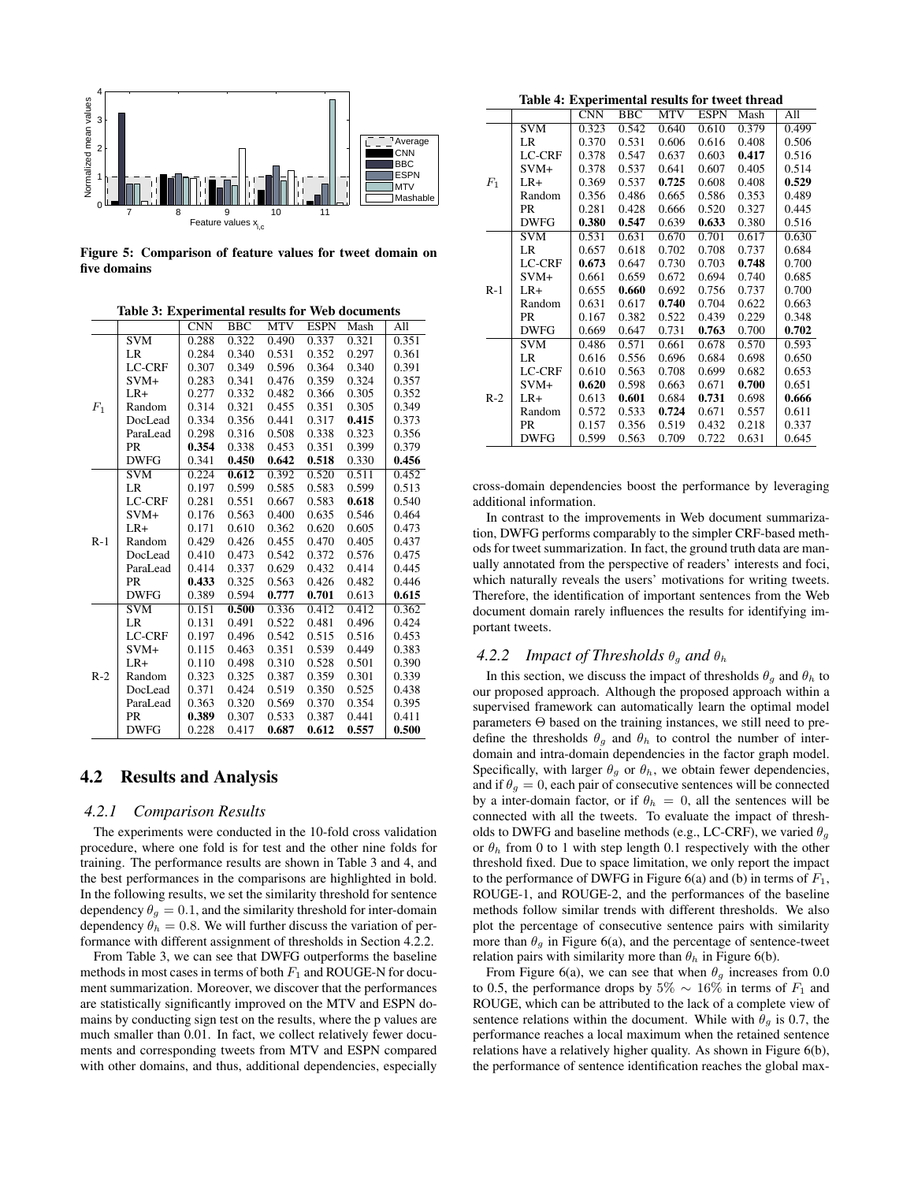

Figure 5: Comparison of feature values for tweet domain on five domains

|       |                         | $\overline{\text{CNN}}$ | <b>BBC</b> | <b>MTV</b> | <b>ESPN</b> | Mash  | All   |
|-------|-------------------------|-------------------------|------------|------------|-------------|-------|-------|
|       | SVM                     | 0.288                   | 0.322      | 0.490      | 0.337       | 0.321 | 0.351 |
|       | LR                      | 0.284                   | 0.340      | 0.531      | 0.352       | 0.297 | 0.361 |
|       | <b>LC-CRF</b>           | 0.307                   | 0.349      | 0.596      | 0.364       | 0.340 | 0.391 |
|       | $SVM+$                  | 0.283                   | 0.341      | 0.476      | 0.359       | 0.324 | 0.357 |
|       | $LR+$                   | 0.277                   | 0.332      | 0.482      | 0.366       | 0.305 | 0.352 |
| $F_1$ | Random                  | 0.314                   | 0.321      | 0.455      | 0.351       | 0.305 | 0.349 |
|       | DocLead                 | 0.334                   | 0.356      | 0.441      | 0.317       | 0.415 | 0.373 |
|       | ParaLead                | 0.298                   | 0.316      | 0.508      | 0.338       | 0.323 | 0.356 |
|       | <b>PR</b>               | 0.354                   | 0.338      | 0.453      | 0.351       | 0.399 | 0.379 |
|       | <b>DWFG</b>             | 0.341                   | 0.450      | 0.642      | 0.518       | 0.330 | 0.456 |
|       | <b>SVM</b>              | 0.224                   | 0.612      | 0.392      | 0.520       | 0.511 | 0.452 |
|       | LR                      | 0.197                   | 0.599      | 0.585      | 0.583       | 0.599 | 0.513 |
|       | LC-CRF                  | 0.281                   | 0.551      | 0.667      | 0.583       | 0.618 | 0.540 |
|       | $SVM+$                  | 0.176                   | 0.563      | 0.400      | 0.635       | 0.546 | 0.464 |
|       | $LR+$                   | 0.171                   | 0.610      | 0.362      | 0.620       | 0.605 | 0.473 |
| $R-1$ | Random                  | 0.429                   | 0.426      | 0.455      | 0.470       | 0.405 | 0.437 |
|       | DocLead                 | 0.410                   | 0.473      | 0.542      | 0.372       | 0.576 | 0.475 |
|       | ParaLead                | 0.414                   | 0.337      | 0.629      | 0.432       | 0.414 | 0.445 |
|       | PR                      | 0.433                   | 0.325      | 0.563      | 0.426       | 0.482 | 0.446 |
|       | <b>DWFG</b>             | 0.389                   | 0.594      | 0.777      | 0.701       | 0.613 | 0.615 |
| $R-2$ | $\overline{\text{SVM}}$ | 0.151                   | 0.500      | 0.336      | 0.412       | 0.412 | 0.362 |
|       | LR                      | 0.131                   | 0.491      | 0.522      | 0.481       | 0.496 | 0.424 |
|       | <b>LC-CRF</b>           | 0.197                   | 0.496      | 0.542      | 0.515       | 0.516 | 0.453 |
|       | $SVM+$                  | 0.115                   | 0.463      | 0.351      | 0.539       | 0.449 | 0.383 |
|       | $LR+$                   | 0.110                   | 0.498      | 0.310      | 0.528       | 0.501 | 0.390 |
|       | Random                  | 0.323                   | 0.325      | 0.387      | 0.359       | 0.301 | 0.339 |
|       | DocLead                 | 0.371                   | 0.424      | 0.519      | 0.350       | 0.525 | 0.438 |
|       | ParaLead                | 0.363                   | 0.320      | 0.569      | 0.370       | 0.354 | 0.395 |
|       | PR                      | 0.389                   | 0.307      | 0.533      | 0.387       | 0.441 | 0.411 |
|       | <b>DWFG</b>             | 0.228                   | 0.417      | 0.687      | 0.612       | 0.557 | 0.500 |

Table 3: Experimental results for Web documents

#### 4.2 Results and Analysis

#### *4.2.1 Comparison Results*

The experiments were conducted in the 10-fold cross validation procedure, where one fold is for test and the other nine folds for training. The performance results are shown in Table 3 and 4, and the best performances in the comparisons are highlighted in bold. In the following results, we set the similarity threshold for sentence dependency  $\theta_q = 0.1$ , and the similarity threshold for inter-domain dependency  $\theta_h = 0.8$ . We will further discuss the variation of performance with different assignment of thresholds in Section 4.2.2.

From Table 3, we can see that DWFG outperforms the baseline methods in most cases in terms of both  $F_1$  and ROUGE-N for document summarization. Moreover, we discover that the performances are statistically significantly improved on the MTV and ESPN domains by conducting sign test on the results, where the p values are much smaller than 0.01. In fact, we collect relatively fewer documents and corresponding tweets from MTV and ESPN compared with other domains, and thus, additional dependencies, especially

Table 4: Experimental results for tweet thread

| Table 4. Experimental results for tweet thread |               |       |                                            |            |             |       |                  |
|------------------------------------------------|---------------|-------|--------------------------------------------|------------|-------------|-------|------------------|
|                                                |               | CNN   | $\overline{B}$ <sub>B</sub> $\overline{C}$ | <b>MTV</b> | <b>ESPN</b> | Mash  | $\overline{All}$ |
|                                                | SVM           | 0.323 | 0.542                                      | 0.640      | 0.610       | 0.379 | 0.499            |
|                                                | LR            | 0.370 | 0.531                                      | 0.606      | 0.616       | 0.408 | 0.506            |
|                                                | <b>LC-CRF</b> | 0.378 | 0.547                                      | 0.637      | 0.603       | 0.417 | 0.516            |
|                                                | $SVM+$        | 0.378 | 0.537                                      | 0.641      | 0.607       | 0.405 | 0.514            |
| $F_1$                                          | $LR+$         | 0.369 | 0.537                                      | 0.725      | 0.608       | 0.408 | 0.529            |
|                                                | Random        | 0.356 | 0.486                                      | 0.665      | 0.586       | 0.353 | 0.489            |
|                                                | <b>PR</b>     | 0.281 | 0.428                                      | 0.666      | 0.520       | 0.327 | 0.445            |
|                                                | <b>DWFG</b>   | 0.380 | 0.547                                      | 0.639      | 0.633       | 0.380 | 0.516            |
|                                                | <b>SVM</b>    | 0.531 | 0.631                                      | 0.670      | 0.701       | 0.617 | 0.630            |
|                                                | LR            | 0.657 | 0.618                                      | 0.702      | 0.708       | 0.737 | 0.684            |
|                                                | <b>LC-CRF</b> | 0.673 | 0.647                                      | 0.730      | 0.703       | 0.748 | 0.700            |
|                                                | $SVM+$        | 0.661 | 0.659                                      | 0.672      | 0.694       | 0.740 | 0.685            |
| $R-1$                                          | $LR+$         | 0.655 | 0.660                                      | 0.692      | 0.756       | 0.737 | 0.700            |
|                                                | Random        | 0.631 | 0.617                                      | 0.740      | 0.704       | 0.622 | 0.663            |
|                                                | <b>PR</b>     | 0.167 | 0.382                                      | 0.522      | 0.439       | 0.229 | 0.348            |
|                                                | <b>DWFG</b>   | 0.669 | 0.647                                      | 0.731      | 0.763       | 0.700 | 0.702            |
| $R-2$                                          | <b>SVM</b>    | 0.486 | 0.571                                      | 0.661      | 0.678       | 0.570 | 0.593            |
|                                                | LR            | 0.616 | 0.556                                      | 0.696      | 0.684       | 0.698 | 0.650            |
|                                                | <b>LC-CRF</b> | 0.610 | 0.563                                      | 0.708      | 0.699       | 0.682 | 0.653            |
|                                                | $SVM+$        | 0.620 | 0.598                                      | 0.663      | 0.671       | 0.700 | 0.651            |
|                                                | $LR+$         | 0.613 | 0.601                                      | 0.684      | 0.731       | 0.698 | 0.666            |
|                                                | Random        | 0.572 | 0.533                                      | 0.724      | 0.671       | 0.557 | 0.611            |
|                                                | PR            | 0.157 | 0.356                                      | 0.519      | 0.432       | 0.218 | 0.337            |
|                                                | <b>DWFG</b>   | 0.599 | 0.563                                      | 0.709      | 0.722       | 0.631 | 0.645            |
|                                                |               |       |                                            |            |             |       |                  |

cross-domain dependencies boost the performance by leveraging additional information.

In contrast to the improvements in Web document summarization, DWFG performs comparably to the simpler CRF-based methods for tweet summarization. In fact, the ground truth data are manually annotated from the perspective of readers' interests and foci, which naturally reveals the users' motivations for writing tweets. Therefore, the identification of important sentences from the Web document domain rarely influences the results for identifying important tweets.

#### 4.2.2 Impact of Thresholds  $\theta_g$  and  $\theta_h$

In this section, we discuss the impact of thresholds  $\theta_q$  and  $\theta_h$  to our proposed approach. Although the proposed approach within a supervised framework can automatically learn the optimal model parameters Θ based on the training instances, we still need to predefine the thresholds  $\theta_g$  and  $\theta_h$  to control the number of interdomain and intra-domain dependencies in the factor graph model. Specifically, with larger  $\theta_g$  or  $\theta_h$ , we obtain fewer dependencies, and if  $\theta_g = 0$ , each pair of consecutive sentences will be connected by a inter-domain factor, or if  $\theta_h = 0$ , all the sentences will be connected with all the tweets. To evaluate the impact of thresholds to DWFG and baseline methods (e.g., LC-CRF), we varied  $\theta_q$ or  $\theta_h$  from 0 to 1 with step length 0.1 respectively with the other threshold fixed. Due to space limitation, we only report the impact to the performance of DWFG in Figure  $6(a)$  and (b) in terms of  $F_1$ , ROUGE-1, and ROUGE-2, and the performances of the baseline methods follow similar trends with different thresholds. We also plot the percentage of consecutive sentence pairs with similarity more than  $\theta_q$  in Figure 6(a), and the percentage of sentence-tweet relation pairs with similarity more than  $\theta_h$  in Figure 6(b).

From Figure 6(a), we can see that when  $\theta_g$  increases from 0.0 to 0.5, the performance drops by  $5\% \sim 16\%$  in terms of  $F_1$  and ROUGE, which can be attributed to the lack of a complete view of sentence relations within the document. While with  $\theta_q$  is 0.7, the performance reaches a local maximum when the retained sentence relations have a relatively higher quality. As shown in Figure 6(b), the performance of sentence identification reaches the global max-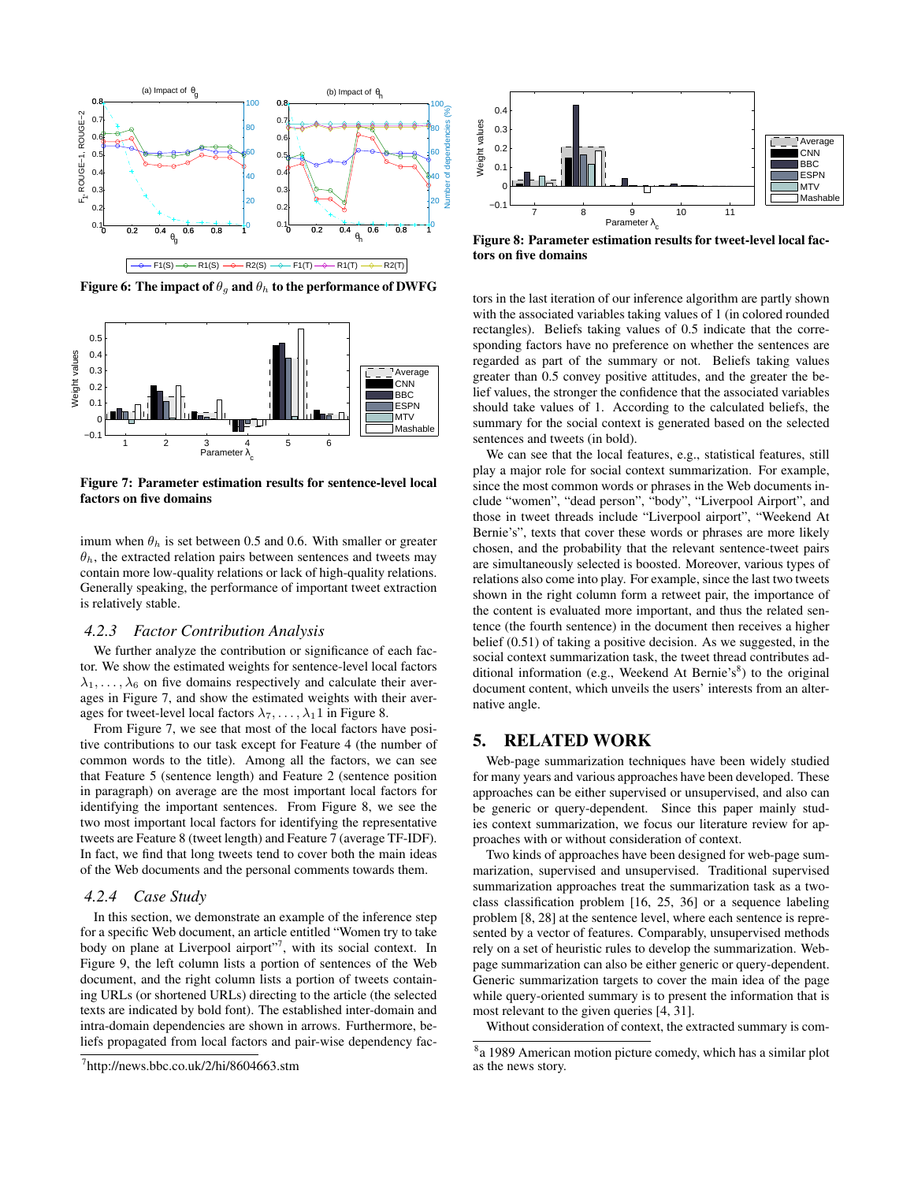

Figure 6: The impact of  $\theta_q$  and  $\theta_h$  to the performance of DWFG



Figure 7: Parameter estimation results for sentence-level local factors on five domains

imum when  $\theta_h$  is set between 0.5 and 0.6. With smaller or greater  $\theta_h$ , the extracted relation pairs between sentences and tweets may contain more low-quality relations or lack of high-quality relations. Generally speaking, the performance of important tweet extraction is relatively stable.

#### *4.2.3 Factor Contribution Analysis*

We further analyze the contribution or significance of each factor. We show the estimated weights for sentence-level local factors  $\lambda_1, \ldots, \lambda_6$  on five domains respectively and calculate their averages in Figure 7, and show the estimated weights with their averages for tweet-level local factors  $\lambda_7, \ldots, \lambda_1$  1 in Figure 8.

From Figure 7, we see that most of the local factors have positive contributions to our task except for Feature 4 (the number of common words to the title). Among all the factors, we can see that Feature 5 (sentence length) and Feature 2 (sentence position in paragraph) on average are the most important local factors for identifying the important sentences. From Figure 8, we see the two most important local factors for identifying the representative tweets are Feature 8 (tweet length) and Feature 7 (average TF-IDF). In fact, we find that long tweets tend to cover both the main ideas of the Web documents and the personal comments towards them.

#### *4.2.4 Case Study*

In this section, we demonstrate an example of the inference step for a specific Web document, an article entitled "Women try to take body on plane at Liverpool airport"<sup>7</sup>, with its social context. In Figure 9, the left column lists a portion of sentences of the Web document, and the right column lists a portion of tweets containing URLs (or shortened URLs) directing to the article (the selected texts are indicated by bold font). The established inter-domain and intra-domain dependencies are shown in arrows. Furthermore, beliefs propagated from local factors and pair-wise dependency fac-



Figure 8: Parameter estimation results for tweet-level local factors on five domains

tors in the last iteration of our inference algorithm are partly shown with the associated variables taking values of 1 (in colored rounded rectangles). Beliefs taking values of 0.5 indicate that the corresponding factors have no preference on whether the sentences are regarded as part of the summary or not. Beliefs taking values greater than 0.5 convey positive attitudes, and the greater the belief values, the stronger the confidence that the associated variables should take values of 1. According to the calculated beliefs, the summary for the social context is generated based on the selected sentences and tweets (in bold).

We can see that the local features, e.g., statistical features, still play a major role for social context summarization. For example, since the most common words or phrases in the Web documents include "women", "dead person", "body", "Liverpool Airport", and those in tweet threads include "Liverpool airport", "Weekend At Bernie's", texts that cover these words or phrases are more likely chosen, and the probability that the relevant sentence-tweet pairs are simultaneously selected is boosted. Moreover, various types of relations also come into play. For example, since the last two tweets shown in the right column form a retweet pair, the importance of the content is evaluated more important, and thus the related sentence (the fourth sentence) in the document then receives a higher belief (0.51) of taking a positive decision. As we suggested, in the social context summarization task, the tweet thread contributes additional information (e.g., Weekend At Bernie's ${}^{8}$ ) to the original document content, which unveils the users' interests from an alternative angle.

## 5. RELATED WORK

Web-page summarization techniques have been widely studied for many years and various approaches have been developed. These approaches can be either supervised or unsupervised, and also can be generic or query-dependent. Since this paper mainly studies context summarization, we focus our literature review for approaches with or without consideration of context.

Two kinds of approaches have been designed for web-page summarization, supervised and unsupervised. Traditional supervised summarization approaches treat the summarization task as a twoclass classification problem [16, 25, 36] or a sequence labeling problem [8, 28] at the sentence level, where each sentence is represented by a vector of features. Comparably, unsupervised methods rely on a set of heuristic rules to develop the summarization. Webpage summarization can also be either generic or query-dependent. Generic summarization targets to cover the main idea of the page while query-oriented summary is to present the information that is most relevant to the given queries [4, 31].

Without consideration of context, the extracted summary is com-

<sup>7</sup> http://news.bbc.co.uk/2/hi/8604663.stm

<sup>&</sup>lt;sup>8</sup>a 1989 American motion picture comedy, which has a similar plot as the news story.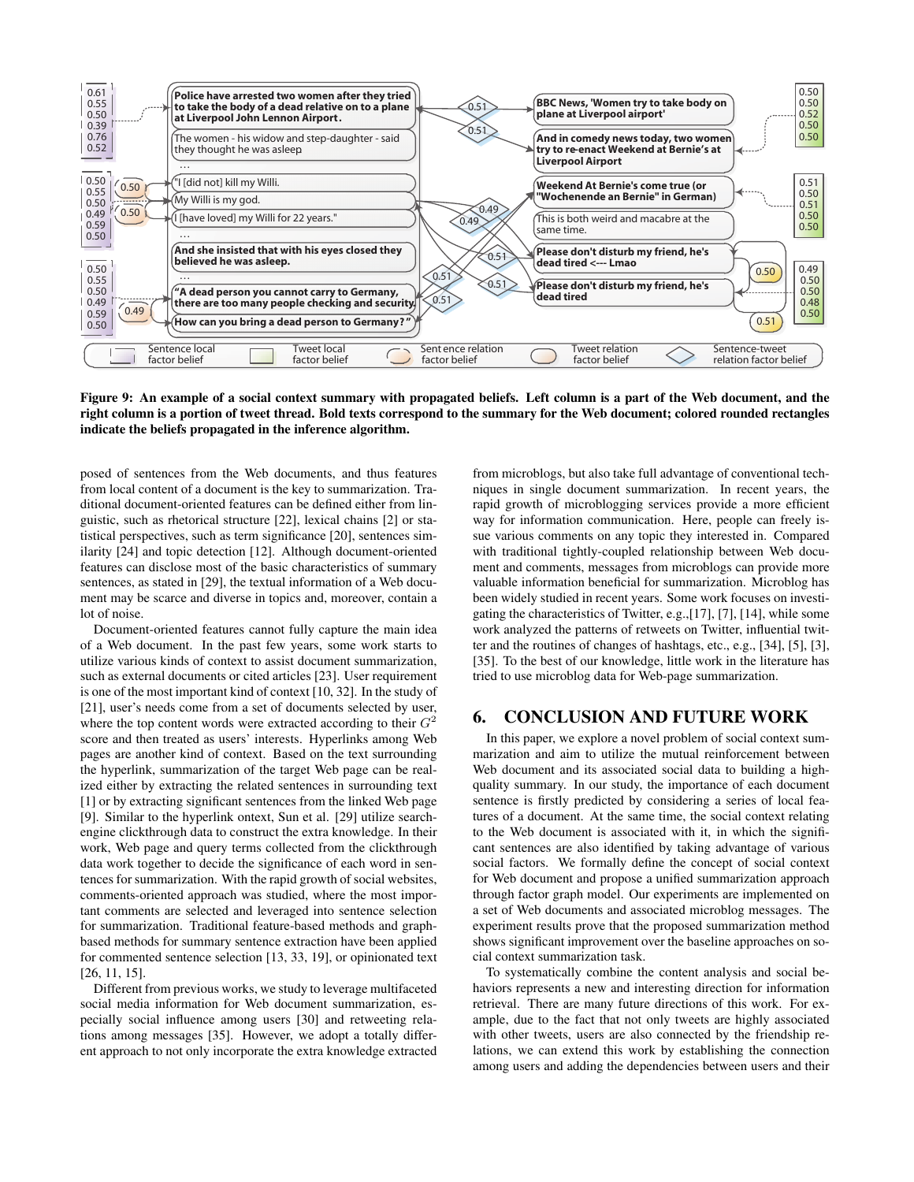

Figure 9: An example of a social context summary with propagated beliefs. Left column is a part of the Web document, and the right column is a portion of tweet thread. Bold texts correspond to the summary for the Web document; colored rounded rectangles indicate the beliefs propagated in the inference algorithm.

posed of sentences from the Web documents, and thus features from local content of a document is the key to summarization. Traditional document-oriented features can be defined either from linguistic, such as rhetorical structure [22], lexical chains [2] or statistical perspectives, such as term significance [20], sentences similarity [24] and topic detection [12]. Although document-oriented features can disclose most of the basic characteristics of summary sentences, as stated in [29], the textual information of a Web document may be scarce and diverse in topics and, moreover, contain a lot of noise.

Document-oriented features cannot fully capture the main idea of a Web document. In the past few years, some work starts to utilize various kinds of context to assist document summarization, such as external documents or cited articles [23]. User requirement is one of the most important kind of context [10, 32]. In the study of [21], user's needs come from a set of documents selected by user, where the top content words were extracted according to their *G* 2 score and then treated as users' interests. Hyperlinks among Web pages are another kind of context. Based on the text surrounding the hyperlink, summarization of the target Web page can be realized either by extracting the related sentences in surrounding text [1] or by extracting significant sentences from the linked Web page [9]. Similar to the hyperlink ontext, Sun et al. [29] utilize searchengine clickthrough data to construct the extra knowledge. In their work, Web page and query terms collected from the clickthrough data work together to decide the significance of each word in sentences for summarization. With the rapid growth of social websites, comments-oriented approach was studied, where the most important comments are selected and leveraged into sentence selection for summarization. Traditional feature-based methods and graphbased methods for summary sentence extraction have been applied for commented sentence selection [13, 33, 19], or opinionated text [26, 11, 15].

Different from previous works, we study to leverage multifaceted social media information for Web document summarization, especially social influence among users [30] and retweeting relations among messages [35]. However, we adopt a totally different approach to not only incorporate the extra knowledge extracted from microblogs, but also take full advantage of conventional techniques in single document summarization. In recent years, the rapid growth of microblogging services provide a more efficient way for information communication. Here, people can freely issue various comments on any topic they interested in. Compared with traditional tightly-coupled relationship between Web document and comments, messages from microblogs can provide more valuable information beneficial for summarization. Microblog has been widely studied in recent years. Some work focuses on investigating the characteristics of Twitter, e.g.,[17], [7], [14], while some work analyzed the patterns of retweets on Twitter, influential twitter and the routines of changes of hashtags, etc., e.g., [34], [5], [3], [35]. To the best of our knowledge, little work in the literature has tried to use microblog data for Web-page summarization.

## 6. CONCLUSION AND FUTURE WORK

In this paper, we explore a novel problem of social context summarization and aim to utilize the mutual reinforcement between Web document and its associated social data to building a highquality summary. In our study, the importance of each document sentence is firstly predicted by considering a series of local features of a document. At the same time, the social context relating to the Web document is associated with it, in which the significant sentences are also identified by taking advantage of various social factors. We formally define the concept of social context for Web document and propose a unified summarization approach through factor graph model. Our experiments are implemented on a set of Web documents and associated microblog messages. The experiment results prove that the proposed summarization method shows significant improvement over the baseline approaches on social context summarization task.

To systematically combine the content analysis and social behaviors represents a new and interesting direction for information retrieval. There are many future directions of this work. For example, due to the fact that not only tweets are highly associated with other tweets, users are also connected by the friendship relations, we can extend this work by establishing the connection among users and adding the dependencies between users and their